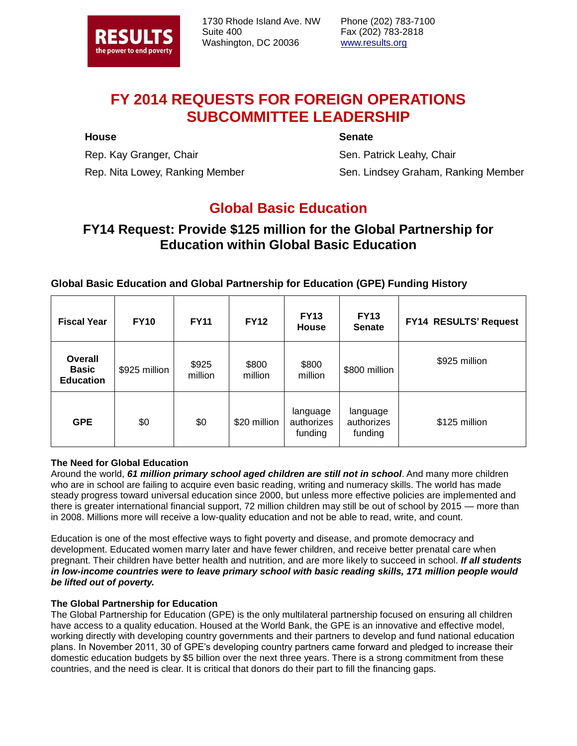

1730 Rhode Island Ave. NW Suite 400 Washington, DC 20036

Phone (202) 783-7100 Fax (202) 783-2818 www.results.org

# **FY 2014 REQUESTS FOR FOREIGN OPERATIONS SUBCOMMITTEE LEADERSHIP**

#### **House**

**Senate**

Rep. Kay Granger, Chair Rep. Nita Lowey, Ranking Member

Sen. Patrick Leahy, Chair Sen. Lindsey Graham, Ranking Member

## **Global Basic Education**

### **FY14 Request: Provide \$125 million for the Global Partnership for Education within Global Basic Education**

### **Global Basic Education and Global Partnership for Education (GPE) Funding History**

| <b>Fiscal Year</b>                          | <b>FY10</b>   | <b>FY11</b>      | <b>FY12</b>      | <b>FY13</b><br><b>House</b>       | <b>FY13</b><br><b>Senate</b>      | FY14 RESULTS' Request |
|---------------------------------------------|---------------|------------------|------------------|-----------------------------------|-----------------------------------|-----------------------|
| Overall<br><b>Basic</b><br><b>Education</b> | \$925 million | \$925<br>million | \$800<br>million | \$800<br>million                  | \$800 million                     | \$925 million         |
| <b>GPE</b>                                  | \$0           | \$0              | \$20 million     | language<br>authorizes<br>funding | language<br>authorizes<br>funding | \$125 million         |

#### **The Need for Global Education**

Around the world, *61 million primary school aged children are still not in school*. And many more children who are in school are failing to acquire even basic reading, writing and numeracy skills. The world has made steady progress toward universal education since 2000, but unless more effective policies are implemented and there is greater international financial support, 72 million children may still be out of school by 2015 — more than in 2008. Millions more will receive a low-quality education and not be able to read, write, and count.

Education is one of the most effective ways to fight poverty and disease, and promote democracy and development. Educated women marry later and have fewer children, and receive better prenatal care when pregnant. Their children have better health and nutrition, and are more likely to succeed in school. *If all students in low-income countries were to leave primary school with basic reading skills, 171 million people would be lifted out of poverty.*

#### **The Global Partnership for Education**

The Global Partnership for Education (GPE) is the only multilateral partnership focused on ensuring all children have access to a quality education. Housed at the World Bank, the GPE is an innovative and effective model, working directly with developing country governments and their partners to develop and fund national education plans. In November 2011, 30 of GPE's developing country partners came forward and pledged to increase their domestic education budgets by \$5 billion over the next three years. There is a strong commitment from these countries, and the need is clear. It is critical that donors do their part to fill the financing gaps.